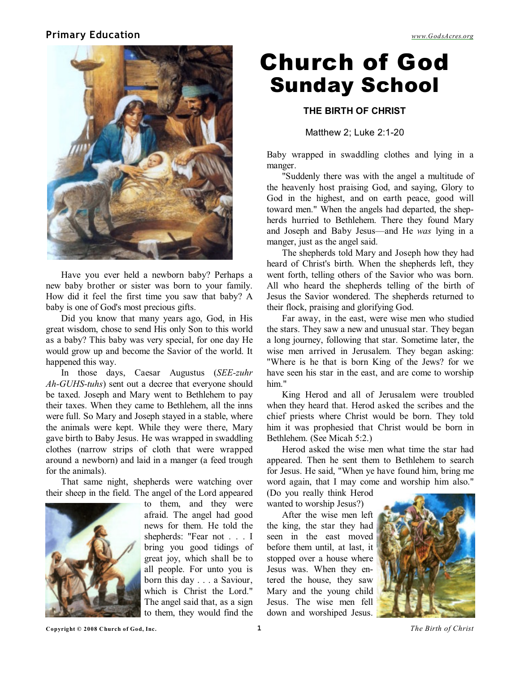#### **Primary Education** *[www.GodsAcres.org](http://godsacres.org)*



Have you ever held a newborn baby? Perhaps a new baby brother or sister was born to your family. How did it feel the first time you saw that baby? A baby is one of God's most precious gifts.

Did you know that many years ago, God, in His great wisdom, chose to send His only Son to this world as a baby? This baby was very special, for one day He would grow up and become the Savior of the world. It happened this way.

In those days, Caesar Augustus (*SEE-zuhr Ah-GUHS-tuhs*) sent out a decree that everyone should be taxed. Joseph and Mary went to Bethlehem to pay their taxes. When they came to Bethlehem, all the inns were full. So Mary and Joseph stayed in a stable, where the animals were kept. While they were there, Mary gave birth to Baby Jesus. He was wrapped in swaddling clothes (narrow strips of cloth that were wrapped around a newborn) and laid in a manger (a feed trough for the animals).

That same night, shepherds were watching over their sheep in the field. The angel of the Lord appeared



to them, and they were afraid. The angel had good news for them. He told the shepherds: "Fear not . . . I bring you good tidings of great joy, which shall be to all people. For unto you is born this day . . . a Saviour, which is Christ the Lord." The angel said that, as a sign to them, they would find the

# Church of God Sunday School

#### **THE BIRTH OF CHRIST**

Matthew 2; Luke 2:1-20

Baby wrapped in swaddling clothes and lying in a manger.

"Suddenly there was with the angel a multitude of the heavenly host praising God, and saying, Glory to God in the highest, and on earth peace, good will toward men." When the angels had departed, the shepherds hurried to Bethlehem. There they found Mary and Joseph and Baby Jesus—and He *was* lying in a manger, just as the angel said.

The shepherds told Mary and Joseph how they had heard of Christ's birth. When the shepherds left, they went forth, telling others of the Savior who was born. All who heard the shepherds telling of the birth of Jesus the Savior wondered. The shepherds returned to their flock, praising and glorifying God.

Far away, in the east, were wise men who studied the stars. They saw a new and unusual star. They began a long journey, following that star. Sometime later, the wise men arrived in Jerusalem. They began asking: "Where is he that is born King of the Jews? for we have seen his star in the east, and are come to worship him."

King Herod and all of Jerusalem were troubled when they heard that. Herod asked the scribes and the chief priests where Christ would be born. They told him it was prophesied that Christ would be born in Bethlehem. (See Micah 5:2.)

Herod asked the wise men what time the star had appeared. Then he sent them to Bethlehem to search for Jesus. He said, "When ye have found him, bring me word again, that I may come and worship him also."

(Do you really think Herod wanted to worship Jesus?)

After the wise men left the king, the star they had seen in the east moved before them until, at last, it stopped over a house where Jesus was. When they entered the house, they saw Mary and the young child Jesus. The wise men fell down and worshiped Jesus.



**Copyright © 2008 Church of God, Inc. 1** *The Birth of Christ*